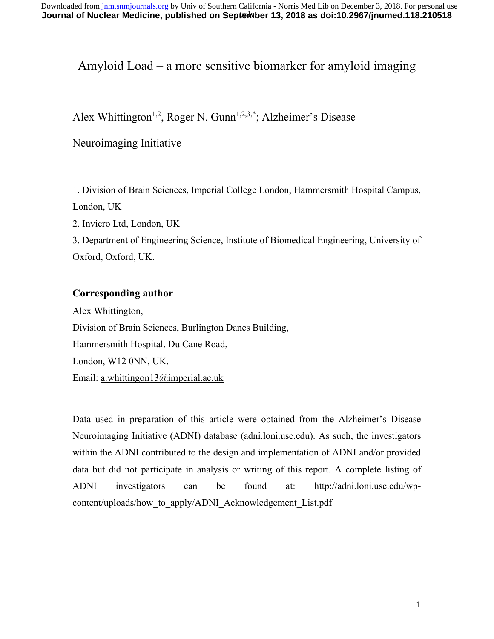# Amyloid Load – a more sensitive biomarker for amyloid imaging

# Alex Whittington<sup>1,2</sup>, Roger N. Gunn<sup>1,2,3,\*</sup>; Alzheimer's Disease

## Neuroimaging Initiative

1. Division of Brain Sciences, Imperial College London, Hammersmith Hospital Campus, London, UK

2. Invicro Ltd, London, UK

3. Department of Engineering Science, Institute of Biomedical Engineering, University of Oxford, Oxford, UK.

### **Corresponding author**

Alex Whittington, Division of Brain Sciences, Burlington Danes Building, Hammersmith Hospital, Du Cane Road, London, W12 0NN, UK. Email: a.whittingon13@imperial.ac.uk

Data used in preparation of this article were obtained from the Alzheimer's Disease Neuroimaging Initiative (ADNI) database (adni.loni.usc.edu). As such, the investigators within the ADNI contributed to the design and implementation of ADNI and/or provided data but did not participate in analysis or writing of this report. A complete listing of ADNI investigators can be found at: http://adni.loni.usc.edu/wpcontent/uploads/how to apply/ADNI Acknowledgement List.pdf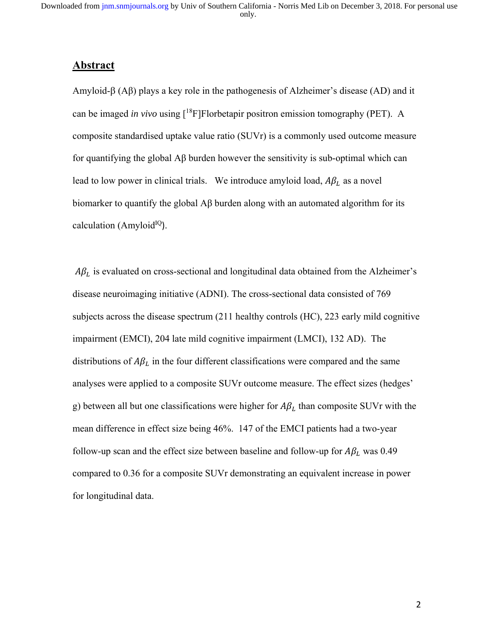### **Abstract**

Amyloid- $\beta$  (A $\beta$ ) plays a key role in the pathogenesis of Alzheimer's disease (AD) and it can be imaged *in vivo* using [18F]Florbetapir positron emission tomography (PET). A composite standardised uptake value ratio (SUVr) is a commonly used outcome measure for quantifying the global Aβ burden however the sensitivity is sub-optimal which can lead to low power in clinical trials. We introduce amyloid load,  $A\beta_L$  as a novel biomarker to quantify the global Aβ burden along with an automated algorithm for its calculation (Amyloid<sup>IQ</sup>).

 $A\beta_L$  is evaluated on cross-sectional and longitudinal data obtained from the Alzheimer's disease neuroimaging initiative (ADNI). The cross-sectional data consisted of 769 subjects across the disease spectrum (211 healthy controls (HC), 223 early mild cognitive impairment (EMCI), 204 late mild cognitive impairment (LMCI), 132 AD). The distributions of  $A\beta_L$  in the four different classifications were compared and the same analyses were applied to a composite SUVr outcome measure. The effect sizes (hedges' g) between all but one classifications were higher for  $A\beta_L$  than composite SUVr with the mean difference in effect size being 46%. 147 of the EMCI patients had a two-year follow-up scan and the effect size between baseline and follow-up for  $A\beta_L$  was 0.49 compared to 0.36 for a composite SUVr demonstrating an equivalent increase in power for longitudinal data.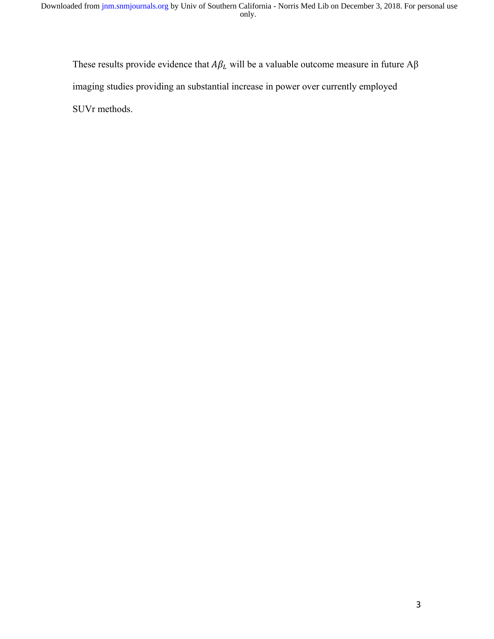These results provide evidence that  $A\beta_L$  will be a valuable outcome measure in future  $A\beta$ imaging studies providing an substantial increase in power over currently employed SUVr methods.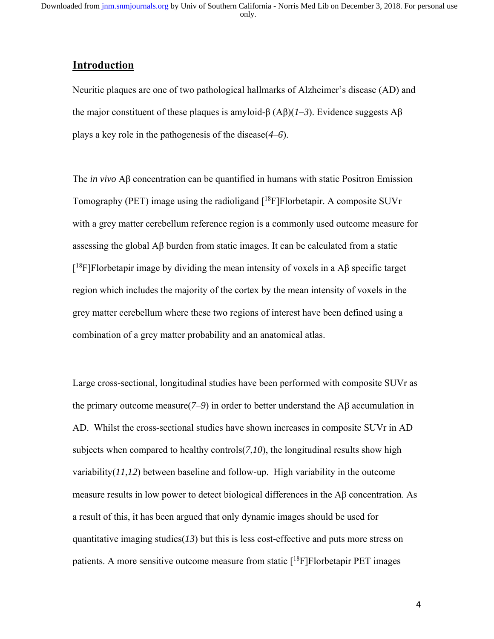## **Introduction**

Neuritic plaques are one of two pathological hallmarks of Alzheimer's disease (AD) and the major constituent of these plaques is amyloid-β (Aβ)(*1*–*3*). Evidence suggests Aβ plays a key role in the pathogenesis of the disease(*4*–*6*).

The *in vivo* Aβ concentration can be quantified in humans with static Positron Emission Tomography (PET) image using the radioligand  $[{}^{18}F]$ Florbetapir. A composite SUVr with a grey matter cerebellum reference region is a commonly used outcome measure for assessing the global Aβ burden from static images. It can be calculated from a static  $[{}^{18}$ F]Florbetapir image by dividing the mean intensity of voxels in a Aβ specific target region which includes the majority of the cortex by the mean intensity of voxels in the grey matter cerebellum where these two regions of interest have been defined using a combination of a grey matter probability and an anatomical atlas.

Large cross-sectional, longitudinal studies have been performed with composite SUVr as the primary outcome measure( $7-9$ ) in order to better understand the Aβ accumulation in AD. Whilst the cross-sectional studies have shown increases in composite SUVr in AD subjects when compared to healthy controls(*7*,*10*), the longitudinal results show high variability(*11*,*12*) between baseline and follow-up. High variability in the outcome measure results in low power to detect biological differences in the Aβ concentration. As a result of this, it has been argued that only dynamic images should be used for quantitative imaging studies $(13)$  but this is less cost-effective and puts more stress on patients. A more sensitive outcome measure from static  $[{}^{18}F]$ Florbetapir PET images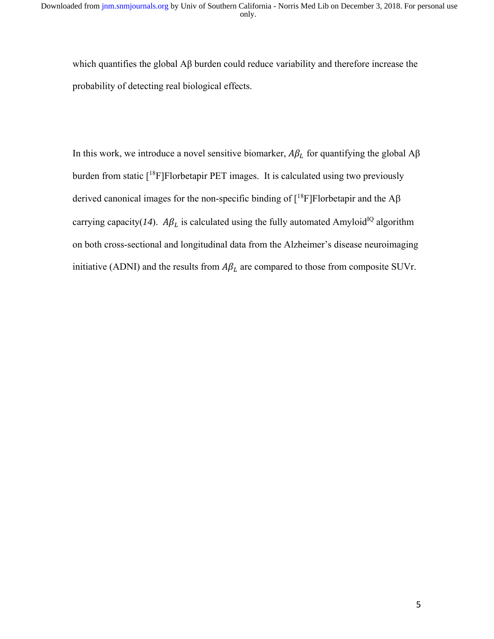which quantifies the global Aβ burden could reduce variability and therefore increase the probability of detecting real biological effects.

In this work, we introduce a novel sensitive biomarker,  $A\beta_L$  for quantifying the global  $A\beta$ burden from static [<sup>18</sup>F]Florbetapir PET images. It is calculated using two previously derived canonical images for the non-specific binding of  $[^{18}F]F$ lorbetapir and the A $\beta$ carrying capacity( $14$ ).  $A\beta_L$  is calculated using the fully automated Amyloid<sup>IQ</sup> algorithm on both cross-sectional and longitudinal data from the Alzheimer's disease neuroimaging initiative (ADNI) and the results from  $A\beta_L$  are compared to those from composite SUVr.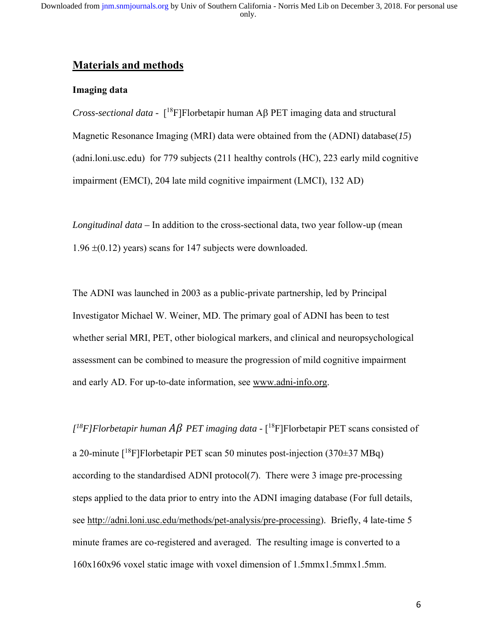## **Materials and methods**

#### **Imaging data**

*Cross-sectional data* - [<sup>18</sup>F]Florbetapir human A<sub>B</sub> PET imaging data and structural Magnetic Resonance Imaging (MRI) data were obtained from the (ADNI) database(*15*) (adni.loni.usc.edu) for 779 subjects (211 healthy controls (HC), 223 early mild cognitive impairment (EMCI), 204 late mild cognitive impairment (LMCI), 132 AD)

*Longitudinal data –* In addition to the cross-sectional data, two year follow-up (mean  $1.96 \pm (0.12)$  years) scans for 147 subjects were downloaded.

The ADNI was launched in 2003 as a public-private partnership, led by Principal Investigator Michael W. Weiner, MD. The primary goal of ADNI has been to test whether serial MRI, PET, other biological markers, and clinical and neuropsychological assessment can be combined to measure the progression of mild cognitive impairment and early AD. For up-to-date information, see www.adni-info.org.

 $I^{18}$ *F*]*Florbetapir human AB PET imaging data* - [<sup>18</sup>F]Florbetapir PET scans consisted of a 20-minute  $[{}^{18}F]$ Florbetapir PET scan 50 minutes post-injection (370 $\pm$ 37 MBq) according to the standardised ADNI protocol(*7*). There were 3 image pre-processing steps applied to the data prior to entry into the ADNI imaging database (For full details, see http://adni.loni.usc.edu/methods/pet-analysis/pre-processing). Briefly, 4 late-time 5 minute frames are co-registered and averaged. The resulting image is converted to a 160x160x96 voxel static image with voxel dimension of 1.5mmx1.5mmx1.5mm.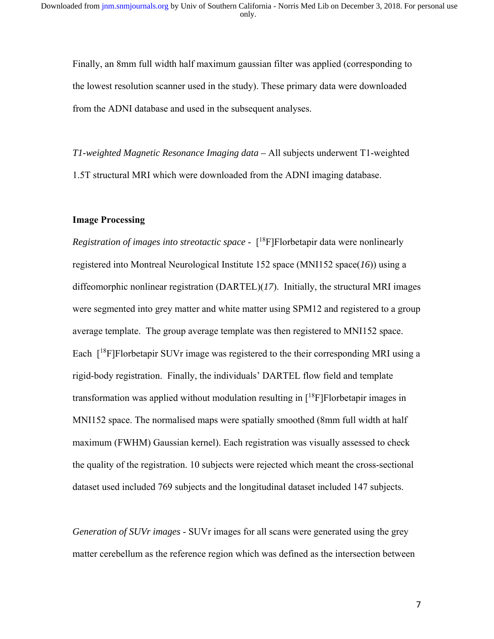Finally, an 8mm full width half maximum gaussian filter was applied (corresponding to the lowest resolution scanner used in the study). These primary data were downloaded from the ADNI database and used in the subsequent analyses.

*T1-weighted Magnetic Resonance Imaging data –* All subjects underwent T1-weighted 1.5T structural MRI which were downloaded from the ADNI imaging database.

#### **Image Processing**

*Registration of images into streotactic space* -  $[$ <sup>18</sup>F]Florbetapir data were nonlinearly registered into Montreal Neurological Institute 152 space (MNI152 space(*16*)) using a diffeomorphic nonlinear registration (DARTEL)(*17*). Initially, the structural MRI images were segmented into grey matter and white matter using SPM12 and registered to a group average template. The group average template was then registered to MNI152 space. Each  $[{}^{18}F]$ Florbetapir SUVr image was registered to the their corresponding MRI using a rigid-body registration. Finally, the individuals' DARTEL flow field and template transformation was applied without modulation resulting in  $[18F]$ Florbetapir images in MNI152 space. The normalised maps were spatially smoothed (8mm full width at half maximum (FWHM) Gaussian kernel). Each registration was visually assessed to check the quality of the registration. 10 subjects were rejected which meant the cross-sectional dataset used included 769 subjects and the longitudinal dataset included 147 subjects.

*Generation of SUVr images* - SUVr images for all scans were generated using the grey matter cerebellum as the reference region which was defined as the intersection between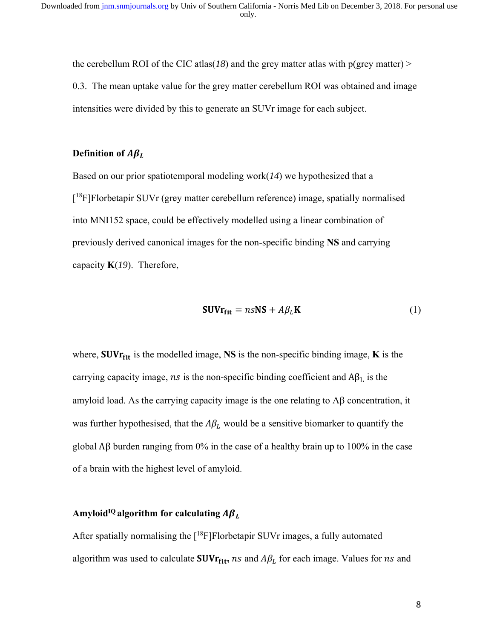the cerebellum ROI of the CIC atlas( $18$ ) and the grey matter atlas with  $p(\text{grey matter})$ 0.3. The mean uptake value for the grey matter cerebellum ROI was obtained and image intensities were divided by this to generate an SUVr image for each subject.

### **Definition of**  $A\beta_L$

Based on our prior spatiotemporal modeling work(*14*) we hypothesized that a [<sup>18</sup>F]Florbetapir SUVr (grey matter cerebellum reference) image, spatially normalised into MNI152 space, could be effectively modelled using a linear combination of previously derived canonical images for the non-specific binding **NS** and carrying capacity **K**(*19*). Therefore,

$$
SUVr_{fit} = n \cdot NS + A\beta_L K \tag{1}
$$

where,  $SUVr_{fit}$  is the modelled image, NS is the non-specific binding image,  $K$  is the carrying capacity image,  $ns$  is the non-specific binding coefficient and  $A\beta_L$  is the amyloid load. As the carrying capacity image is the one relating to  $\overrightarrow{AB}$  concentration, it was further hypothesised, that the  $A\beta_L$  would be a sensitive biomarker to quantify the global Aβ burden ranging from 0% in the case of a healthy brain up to 100% in the case of a brain with the highest level of amyloid.

### Amyloid<sup>IQ</sup> algorithm for calculating  $A\beta_L$

After spatially normalising the  $[{}^{18}F]$ Florbetapir SUVr images, a fully automated algorithm was used to calculate **SUVr**<sub>fit</sub>, ns and  $A\beta_L$  for each image. Values for ns and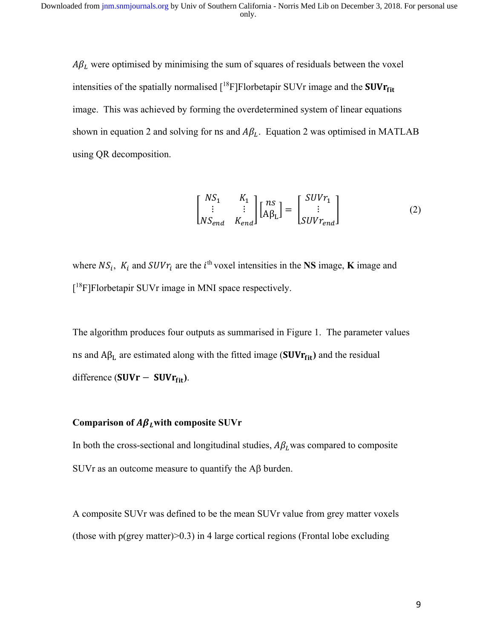$A\beta_L$  were optimised by minimising the sum of squares of residuals between the voxel intensities of the spatially normalised  $[18F]F$ lorbetapir SUVr image and the **SUVr**<sub>fit</sub> image. This was achieved by forming the overdetermined system of linear equations shown in equation 2 and solving for ns and  $A\beta_L$ . Equation 2 was optimised in MATLAB using QR decomposition.

$$
\begin{bmatrix} NS_1 & K_1 \\ \vdots & \vdots \\ NS_{end} & K_{end} \end{bmatrix} \begin{bmatrix} ns \\ A\beta_L \end{bmatrix} = \begin{bmatrix} SUSr_1 \\ \vdots \\ SUSr_{end} \end{bmatrix}
$$
 (2)

where  $NS_i$ ,  $K_i$  and  $SUVr_i$  are the  $i^{\text{th}}$  voxel intensities in the **NS** image, **K** image and [<sup>18</sup>F]Florbetapir SUVr image in MNI space respectively.

The algorithm produces four outputs as summarised in Figure 1. The parameter values ns and Aβ<sub>L</sub> are estimated along with the fitted image (SUVr<sub>fit</sub>) and the residual difference (SUVr - SUVr<sub>fit</sub>).

#### Comparison of  $A\beta$ <sub>*L*</sub> with composite SUVr

In both the cross-sectional and longitudinal studies,  $A\beta_L$  was compared to composite SUVr as an outcome measure to quantify the  $\overrightarrow{AB}$  burden.

A composite SUVr was defined to be the mean SUVr value from grey matter voxels (those with  $p(grey matter) > 0.3$ ) in 4 large cortical regions (Frontal lobe excluding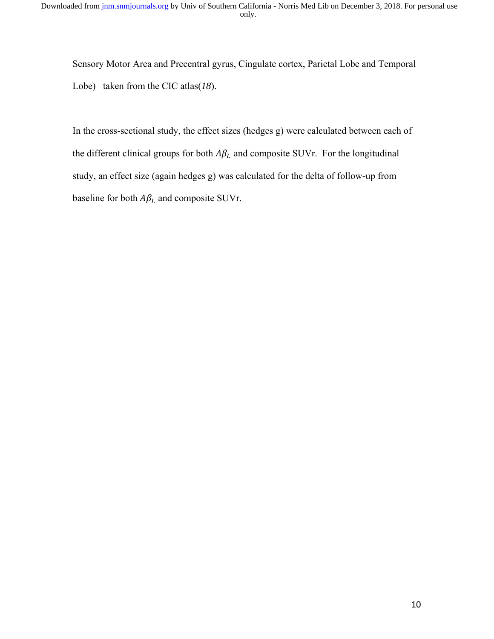Sensory Motor Area and Precentral gyrus, Cingulate cortex, Parietal Lobe and Temporal Lobe) taken from the CIC atlas(*18*).

In the cross-sectional study, the effect sizes (hedges g) were calculated between each of the different clinical groups for both  $A\beta_L$  and composite SUVr. For the longitudinal study, an effect size (again hedges g) was calculated for the delta of follow-up from baseline for both  $A\beta_L$  and composite SUVr.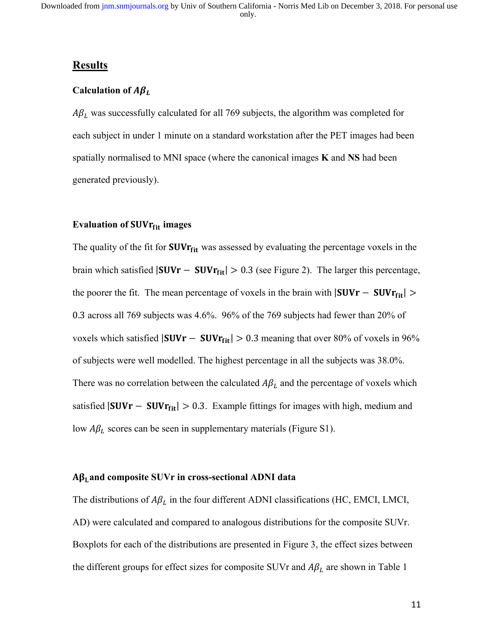## **Results**

#### Calculation of  $A\beta_L$

 $A\beta_L$  was successfully calculated for all 769 subjects, the algorithm was completed for each subject in under 1 minute on a standard workstation after the PET images had been spatially normalised to MNI space (where the canonical images **K** and **NS** had been generated previously).

### **Evaluation of SUVrfit images**

The quality of the fit for  $SUVr_{fit}$  was assessed by evaluating the percentage voxels in the brain which satisfied  $|SUVr - SUVr_{fit}| > 0.3$  (see Figure 2). The larger this percentage, the poorer the fit. The mean percentage of voxels in the brain with  $|SUVr - SUVr_{fit}| >$ 0.3 across all 769 subjects was 4.6%. 96% of the 769 subjects had fewer than 20% of voxels which satisfied  $|SUVr - SUVr_{fit}| > 0.3$  meaning that over 80% of voxels in 96% of subjects were well modelled. The highest percentage in all the subjects was 38.0%. There was no correlation between the calculated  $A\beta_L$  and the percentage of voxels which satisfied  $|SUVr - SUVr_{fit}| > 0.3$ . Example fittings for images with high, medium and low  $A\beta_L$  scores can be seen in supplementary materials (Figure S1).

#### Aβ<sub>L</sub> and composite SUVr in cross-sectional ADNI data

The distributions of  $A\beta_L$  in the four different ADNI classifications (HC, EMCI, LMCI, AD) were calculated and compared to analogous distributions for the composite SUVr. Boxplots for each of the distributions are presented in Figure 3, the effect sizes between the different groups for effect sizes for composite SUVr and  $A\beta_L$  are shown in Table 1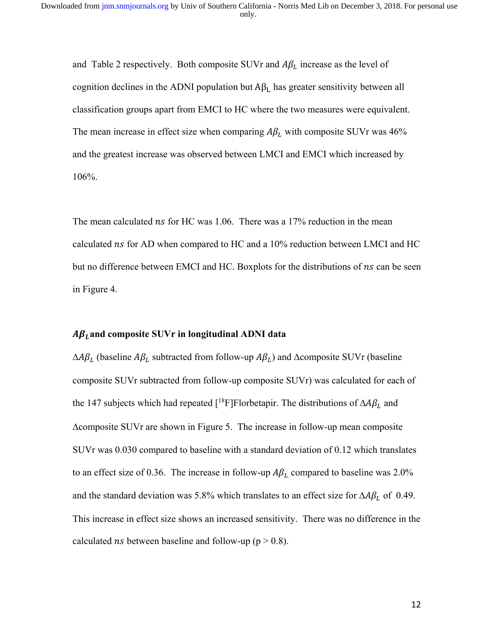and Table 2 respectively. Both composite SUVr and  $A\beta_L$  increase as the level of cognition declines in the ADNI population but  $A\beta_L$  has greater sensitivity between all classification groups apart from EMCI to HC where the two measures were equivalent. The mean increase in effect size when comparing  $A\beta_L$  with composite SUVr was 46% and the greatest increase was observed between LMCI and EMCI which increased by 106%.

The mean calculated  $ns$  for HC was 1.06. There was a 17% reduction in the mean calculated ns for AD when compared to HC and a 10% reduction between LMCI and HC but no difference between EMCI and HC. Boxplots for the distributions of ns can be seen in Figure 4.

#### ࡸࢼ**and composite SUVr in longitudinal ADNI data**

 $\Delta A \beta_L$  (baseline  $A \beta_L$  subtracted from follow-up  $A \beta_L$ ) and  $\Delta$ composite SUVr (baseline composite SUVr subtracted from follow-up composite SUVr) was calculated for each of the 147 subjects which had repeated [<sup>18</sup>F]Florbetapir. The distributions of  $\Delta A \beta_L$  and composite SUVr are shown in Figure 5. The increase in follow-up mean composite SUVr was 0.030 compared to baseline with a standard deviation of 0.12 which translates to an effect size of 0.36. The increase in follow-up  $A\beta_L$  compared to baseline was 2.0% and the standard deviation was 5.8% which translates to an effect size for  $\Delta A \beta_L$  of 0.49. This increase in effect size shows an increased sensitivity. There was no difference in the calculated *ns* between baseline and follow-up ( $p > 0.8$ ).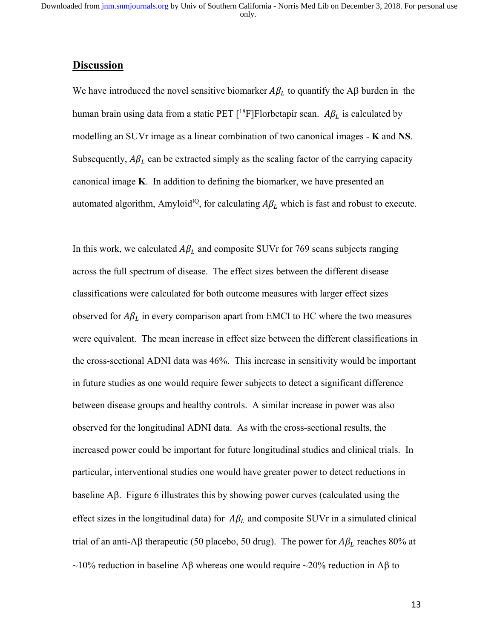#### **Discussion**

We have introduced the novel sensitive biomarker  $A\beta_L$  to quantify the A $\beta$  burden in the human brain using data from a static PET [<sup>18</sup>F]Florbetapir scan.  $A\beta_L$  is calculated by modelling an SUVr image as a linear combination of two canonical images - **K** and **NS**. Subsequently,  $A\beta_L$  can be extracted simply as the scaling factor of the carrying capacity canonical image **K**. In addition to defining the biomarker, we have presented an automated algorithm, Amyloid<sup>IQ</sup>, for calculating  $A\beta_L$  which is fast and robust to execute.

In this work, we calculated  $A\beta_L$  and composite SUVr for 769 scans subjects ranging across the full spectrum of disease. The effect sizes between the different disease classifications were calculated for both outcome measures with larger effect sizes observed for  $A\beta_L$  in every comparison apart from EMCI to HC where the two measures were equivalent. The mean increase in effect size between the different classifications in the cross-sectional ADNI data was 46%. This increase in sensitivity would be important in future studies as one would require fewer subjects to detect a significant difference between disease groups and healthy controls. A similar increase in power was also observed for the longitudinal ADNI data. As with the cross-sectional results, the increased power could be important for future longitudinal studies and clinical trials. In particular, interventional studies one would have greater power to detect reductions in baseline  $\overline{AB}$ . Figure 6 illustrates this by showing power curves (calculated using the effect sizes in the longitudinal data) for  $A\beta_L$  and composite SUVr in a simulated clinical trial of an anti-A $\beta$  therapeutic (50 placebo, 50 drug). The power for  $A\beta_L$  reaches 80% at ~10% reduction in baseline A $\beta$  whereas one would require ~20% reduction in A $\beta$  to

13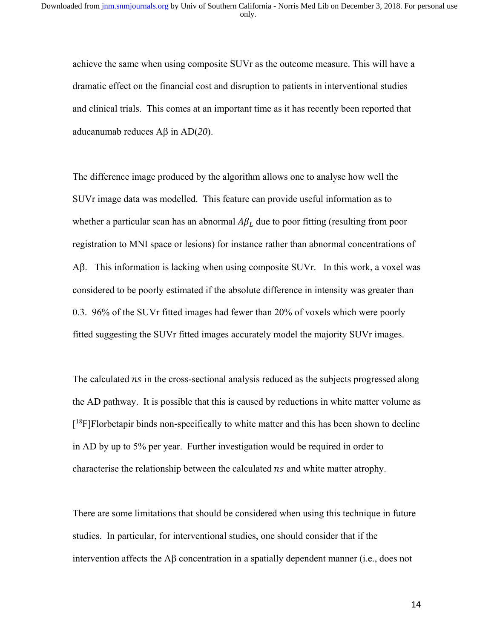achieve the same when using composite SUVr as the outcome measure. This will have a dramatic effect on the financial cost and disruption to patients in interventional studies and clinical trials. This comes at an important time as it has recently been reported that aducanumab reduces  $\text{A}\beta$  in  $\text{A}\text{D}(20)$ .

The difference image produced by the algorithm allows one to analyse how well the SUVr image data was modelled. This feature can provide useful information as to whether a particular scan has an abnormal  $A\beta_L$  due to poor fitting (resulting from poor registration to MNI space or lesions) for instance rather than abnormal concentrations of A $\beta$ . This information is lacking when using composite SUVr. In this work, a voxel was considered to be poorly estimated if the absolute difference in intensity was greater than 0.3. 96% of the SUVr fitted images had fewer than 20% of voxels which were poorly fitted suggesting the SUVr fitted images accurately model the majority SUVr images.

The calculated  $\eta$ s in the cross-sectional analysis reduced as the subjects progressed along the AD pathway. It is possible that this is caused by reductions in white matter volume as [<sup>18</sup>F]Florbetapir binds non-specifically to white matter and this has been shown to decline in AD by up to 5% per year. Further investigation would be required in order to characterise the relationship between the calculated *ns* and white matter atrophy.

There are some limitations that should be considered when using this technique in future studies. In particular, for interventional studies, one should consider that if the intervention affects the A $\beta$  concentration in a spatially dependent manner (i.e., does not

14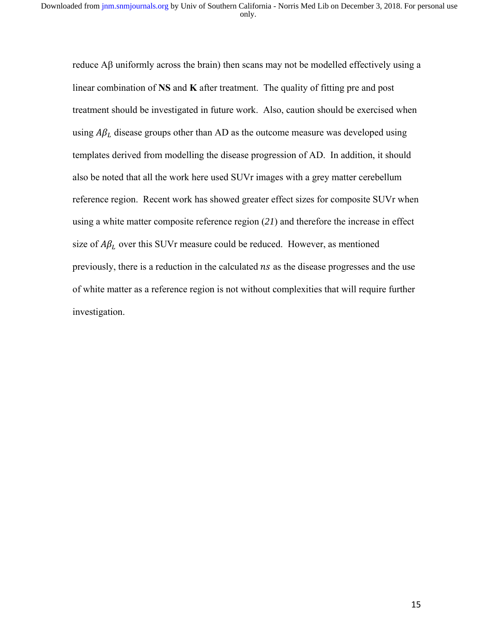reduce  $\overrightarrow{AB}$  uniformly across the brain) then scans may not be modelled effectively using a linear combination of **NS** and **K** after treatment. The quality of fitting pre and post treatment should be investigated in future work. Also, caution should be exercised when using  $A\beta_L$  disease groups other than AD as the outcome measure was developed using templates derived from modelling the disease progression of AD. In addition, it should also be noted that all the work here used SUVr images with a grey matter cerebellum reference region. Recent work has showed greater effect sizes for composite SUVr when using a white matter composite reference region (*21*) and therefore the increase in effect size of  $A\beta_L$  over this SUVr measure could be reduced. However, as mentioned previously, there is a reduction in the calculated *ns* as the disease progresses and the use of white matter as a reference region is not without complexities that will require further investigation.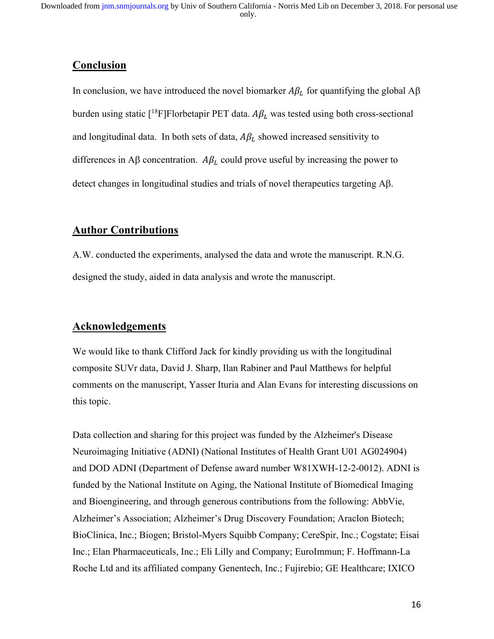### **Conclusion**

In conclusion, we have introduced the novel biomarker  $A\beta_L$  for quantifying the global  $A\beta$ burden using static [<sup>18</sup>F]Florbetapir PET data.  $A\beta_L$  was tested using both cross-sectional and longitudinal data. In both sets of data,  $A\beta_L$  showed increased sensitivity to differences in A $\beta$  concentration. A $\beta_L$  could prove useful by increasing the power to detect changes in longitudinal studies and trials of novel therapeutics targeting  $\mathbf{A}\mathbf{\beta}$ .

### **Author Contributions**

A.W. conducted the experiments, analysed the data and wrote the manuscript. R.N.G. designed the study, aided in data analysis and wrote the manuscript.

## **Acknowledgements**

We would like to thank Clifford Jack for kindly providing us with the longitudinal composite SUVr data, David J. Sharp, Ilan Rabiner and Paul Matthews for helpful comments on the manuscript, Yasser Ituria and Alan Evans for interesting discussions on this topic.

Data collection and sharing for this project was funded by the Alzheimer's Disease Neuroimaging Initiative (ADNI) (National Institutes of Health Grant U01 AG024904) and DOD ADNI (Department of Defense award number W81XWH-12-2-0012). ADNI is funded by the National Institute on Aging, the National Institute of Biomedical Imaging and Bioengineering, and through generous contributions from the following: AbbVie, Alzheimer's Association; Alzheimer's Drug Discovery Foundation; Araclon Biotech; BioClinica, Inc.; Biogen; Bristol-Myers Squibb Company; CereSpir, Inc.; Cogstate; Eisai Inc.; Elan Pharmaceuticals, Inc.; Eli Lilly and Company; EuroImmun; F. Hoffmann-La Roche Ltd and its affiliated company Genentech, Inc.; Fujirebio; GE Healthcare; IXICO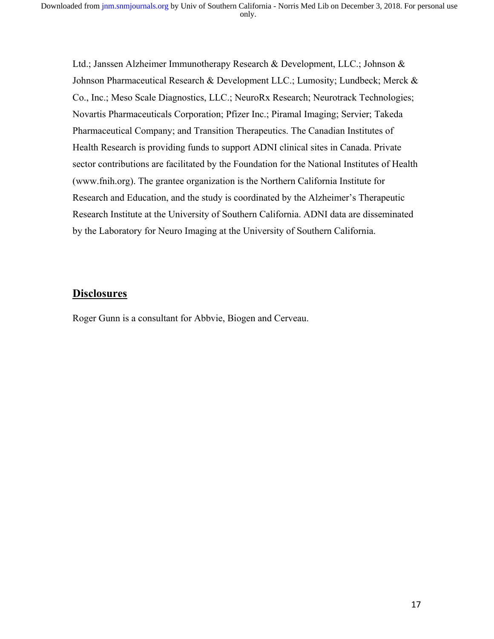Ltd.; Janssen Alzheimer Immunotherapy Research & Development, LLC.; Johnson & Johnson Pharmaceutical Research & Development LLC.; Lumosity; Lundbeck; Merck & Co., Inc.; Meso Scale Diagnostics, LLC.; NeuroRx Research; Neurotrack Technologies; Novartis Pharmaceuticals Corporation; Pfizer Inc.; Piramal Imaging; Servier; Takeda Pharmaceutical Company; and Transition Therapeutics. The Canadian Institutes of Health Research is providing funds to support ADNI clinical sites in Canada. Private sector contributions are facilitated by the Foundation for the National Institutes of Health (www.fnih.org). The grantee organization is the Northern California Institute for Research and Education, and the study is coordinated by the Alzheimer's Therapeutic Research Institute at the University of Southern California. ADNI data are disseminated by the Laboratory for Neuro Imaging at the University of Southern California.

### **Disclosures**

Roger Gunn is a consultant for Abbvie, Biogen and Cerveau.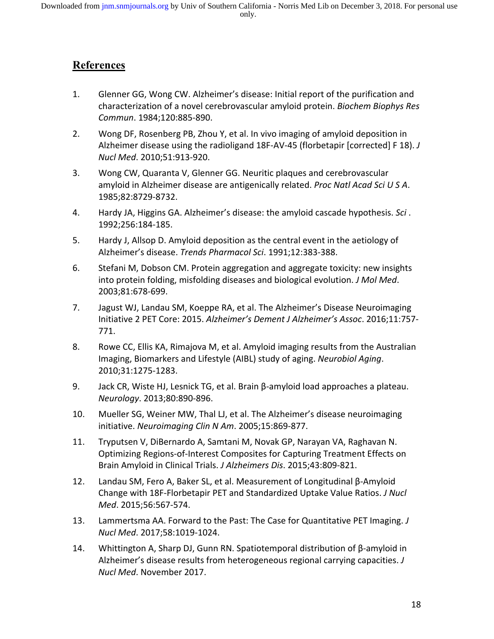# **References**

- 1. Glenner GG, Wong CW. Alzheimer's disease: Initial report of the purification and characterization of a novel cerebrovascular amyloid protein. *Biochem Biophys Res Commun*. 1984;120:885‐890.
- 2. Wong DF, Rosenberg PB, Zhou Y, et al. In vivo imaging of amyloid deposition in Alzheimer disease using the radioligand 18F‐AV‐45 (florbetapir [corrected] F 18). *J Nucl Med*. 2010;51:913‐920.
- 3. Wong CW, Quaranta V, Glenner GG. Neuritic plaques and cerebrovascular amyloid in Alzheimer disease are antigenically related. *Proc Natl Acad Sci U S A*. 1985;82:8729‐8732.
- 4. Hardy JA, Higgins GA. Alzheimer's disease: the amyloid cascade hypothesis. *Sci* . 1992;256:184‐185.
- 5. Hardy J, Allsop D. Amyloid deposition as the central event in the aetiology of Alzheimer's disease. *Trends Pharmacol Sci*. 1991;12:383‐388.
- 6. Stefani M, Dobson CM. Protein aggregation and aggregate toxicity: new insights into protein folding, misfolding diseases and biological evolution. *J Mol Med*. 2003;81:678‐699.
- 7. Jagust WJ, Landau SM, Koeppe RA, et al. The Alzheimer's Disease Neuroimaging Initiative 2 PET Core: 2015. *Alzheimer's Dement J Alzheimer's Assoc*. 2016;11:757‐ 771.
- 8. Rowe CC, Ellis KA, Rimajova M, et al. Amyloid imaging results from the Australian Imaging, Biomarkers and Lifestyle (AIBL) study of aging. *Neurobiol Aging*. 2010;31:1275‐1283.
- 9. Jack CR, Wiste HJ, Lesnick TG, et al. Brain β‐amyloid load approaches a plateau. *Neurology*. 2013;80:890‐896.
- 10. Mueller SG, Weiner MW, Thal LJ, et al. The Alzheimer's disease neuroimaging initiative. *Neuroimaging Clin N Am*. 2005;15:869‐877.
- 11. Tryputsen V, DiBernardo A, Samtani M, Novak GP, Narayan VA, Raghavan N. Optimizing Regions‐of‐Interest Composites for Capturing Treatment Effects on Brain Amyloid in Clinical Trials. *J Alzheimers Dis*. 2015;43:809‐821.
- 12. Landau SM, Fero A, Baker SL, et al. Measurement of Longitudinal β‐Amyloid Change with 18F‐Florbetapir PET and Standardized Uptake Value Ratios. *J Nucl Med*. 2015;56:567‐574.
- 13. Lammertsma AA. Forward to the Past: The Case for Quantitative PET Imaging. *J Nucl Med*. 2017;58:1019‐1024.
- 14. Whittington A, Sharp DJ, Gunn RN. Spatiotemporal distribution of β‐amyloid in Alzheimer's disease results from heterogeneous regional carrying capacities. *J Nucl Med*. November 2017.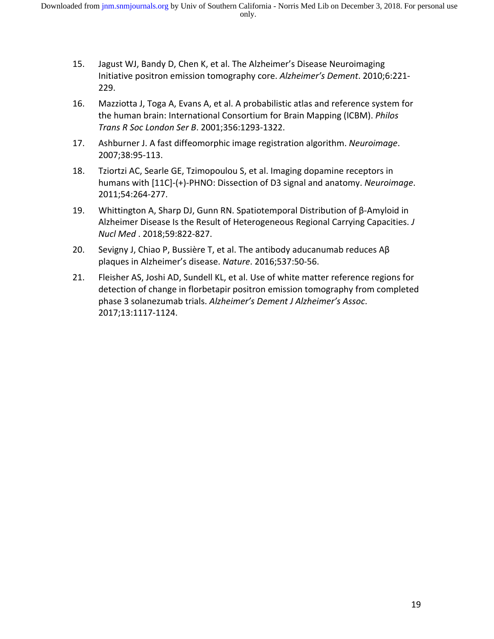- 15. Jagust WJ, Bandy D, Chen K, et al. The Alzheimer's Disease Neuroimaging Initiative positron emission tomography core. *Alzheimer's Dement*. 2010;6:221‐ 229.
- 16. Mazziotta J, Toga A, Evans A, et al. A probabilistic atlas and reference system for the human brain: International Consortium for Brain Mapping (ICBM). *Philos Trans R Soc London Ser B*. 2001;356:1293‐1322.
- 17. Ashburner J. A fast diffeomorphic image registration algorithm. *Neuroimage*. 2007;38:95‐113.
- 18. Tziortzi AC, Searle GE, Tzimopoulou S, et al. Imaging dopamine receptors in humans with [11C]‐(+)‐PHNO: Dissection of D3 signal and anatomy. *Neuroimage*. 2011;54:264‐277.
- 19. Whittington A, Sharp DJ, Gunn RN. Spatiotemporal Distribution of β‐Amyloid in Alzheimer Disease Is the Result of Heterogeneous Regional Carrying Capacities. *J Nucl Med* . 2018;59:822‐827.
- 20. Sevigny J, Chiao P, Bussière T, et al. The antibody aducanumab reduces Aβ plaques in Alzheimer's disease. *Nature*. 2016;537:50‐56.
- 21. Fleisher AS, Joshi AD, Sundell KL, et al. Use of white matter reference regions for detection of change in florbetapir positron emission tomography from completed phase 3 solanezumab trials. *Alzheimer's Dement J Alzheimer's Assoc*. 2017;13:1117‐1124.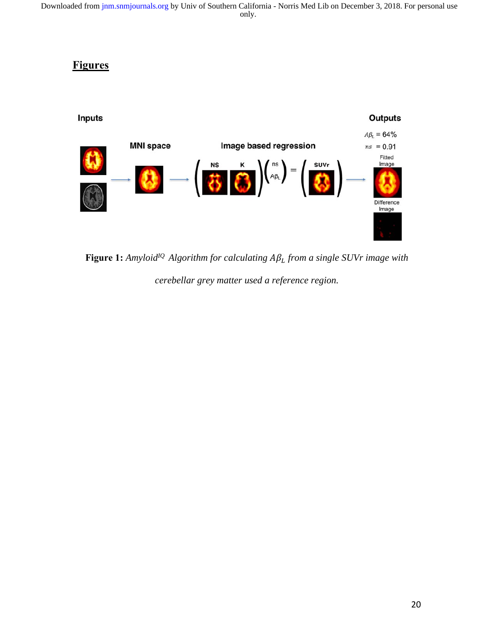### **Figures**



**Figure 1:** *Amyloid<sup>IQ</sup> Algorithm for calculating*  $A\beta_L$  *from a single SUVr image with cerebellar grey matter used a reference region.*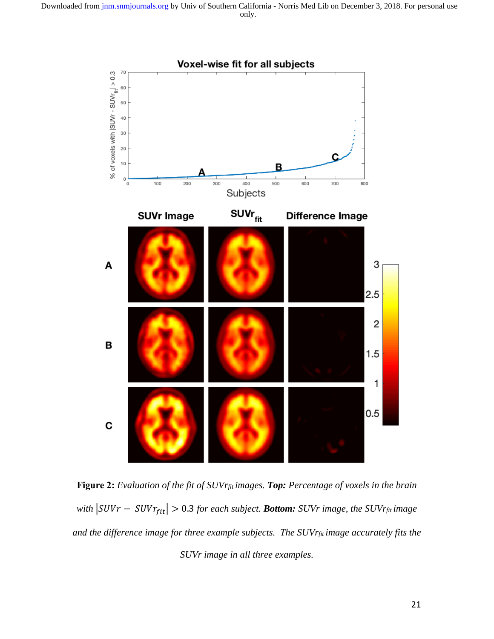

**Figure 2:** *Evaluation of the fit of SUVrfit images. Top: Percentage of voxels in the brain with*  $|SUVr - SUVr_{fit}| > 0.3$  *for each subject. Bottom: SUVr image, the SUVrfit image and the difference image for three example subjects. The SUVrfit image accurately fits the SUVr image in all three examples.*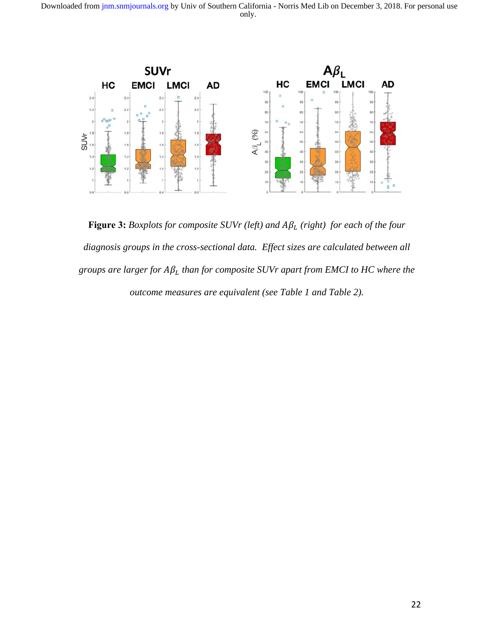only. Downloaded from [jnm.snmjournals.org b](http://jnm.snmjournals.org/)y Univ of Southern California - Norris Med Lib on December 3, 2018. For personal use



**Figure 3:** *Boxplots for composite SUVr* (left) and  $A\beta_L$  (right) for each of the four *diagnosis groups in the cross-sectional data. Effect sizes are calculated between all*   $g$ roups are larger for  $A\beta_L$  than for composite SUVr apart from EMCI to HC where the *outcome measures are equivalent (see Table 1 and Table 2).*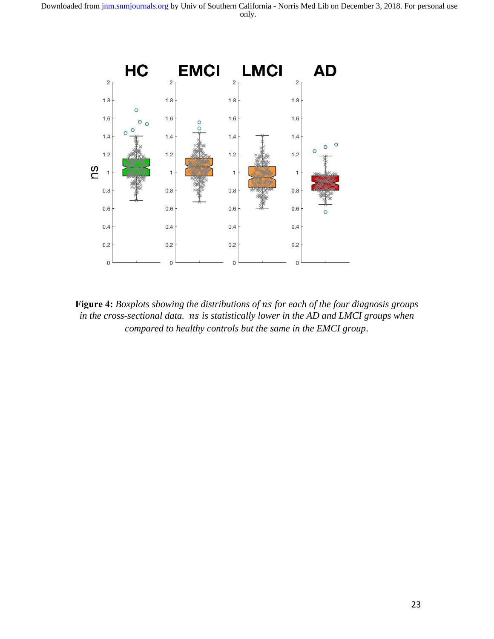

Figure 4: *Boxplots showing the distributions of ns for each of the four diagnosis groups in the cross-sectional data. ns is statistically lower in the AD and LMCI groups when compared to healthy controls but the same in the EMCI group*.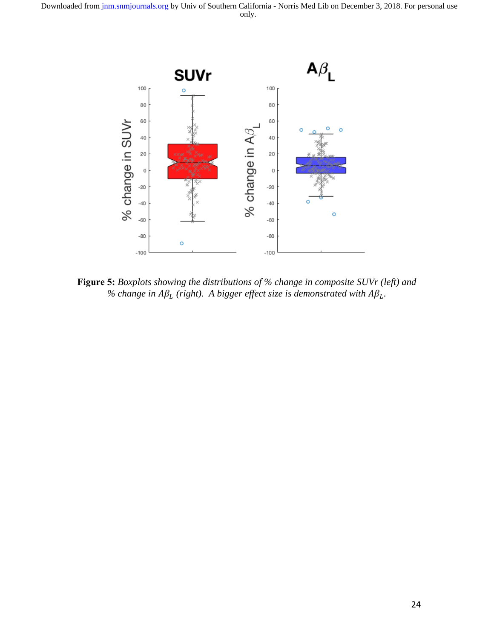

**Figure 5:** *Boxplots showing the distributions of % change in composite SUVr (left) and*   $%$  change in  $A\beta_L$  (right). A bigger effect size is demonstrated with  $A\beta_L$ .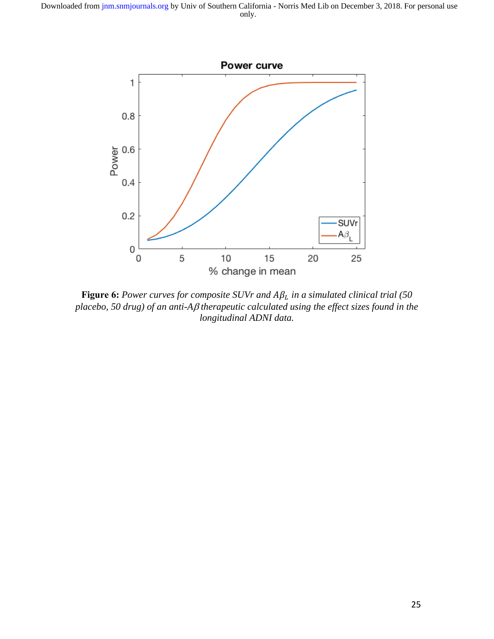

**Figure 6:** Power curves for composite SUVr and  $A\beta_L$  in a simulated clinical trial (50 *placebo, 50 drug) of an anti-A* $\beta$  *therapeutic calculated using the effect sizes found in the longitudinal ADNI data.*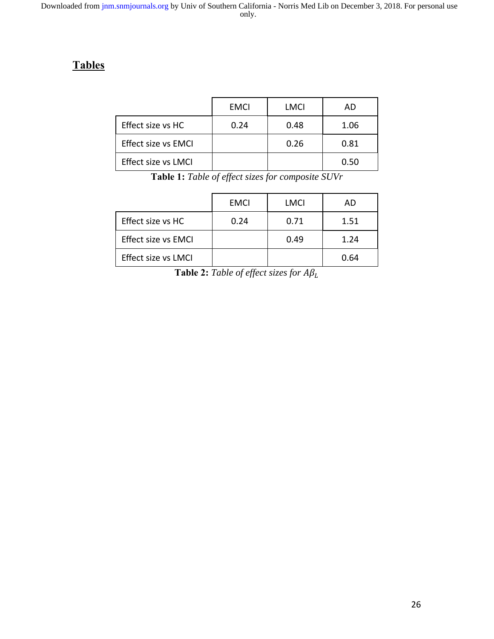# **Tables**

|                            | <b>EMCI</b> | LMCI | AD   |
|----------------------------|-------------|------|------|
| Effect size vs HC          | 0.24        | 0.48 | 1.06 |
| <b>Effect size vs EMCI</b> |             | 0.26 | 0.81 |
| Effect size vs LMCI        |             |      | 0.50 |

**Table 1:** *Table of effect sizes for composite SUVr* 

|                            | <b>EMCI</b> | LMCI | AD   |
|----------------------------|-------------|------|------|
| Effect size vs HC          | 0.24        | 0.71 | 1.51 |
| <b>Effect size vs EMCI</b> |             | 0.49 | 1.24 |
| <b>Effect size vs LMCI</b> |             |      | 0.64 |

**Table 2:** *Table of effect sizes for*  $A\beta_L$